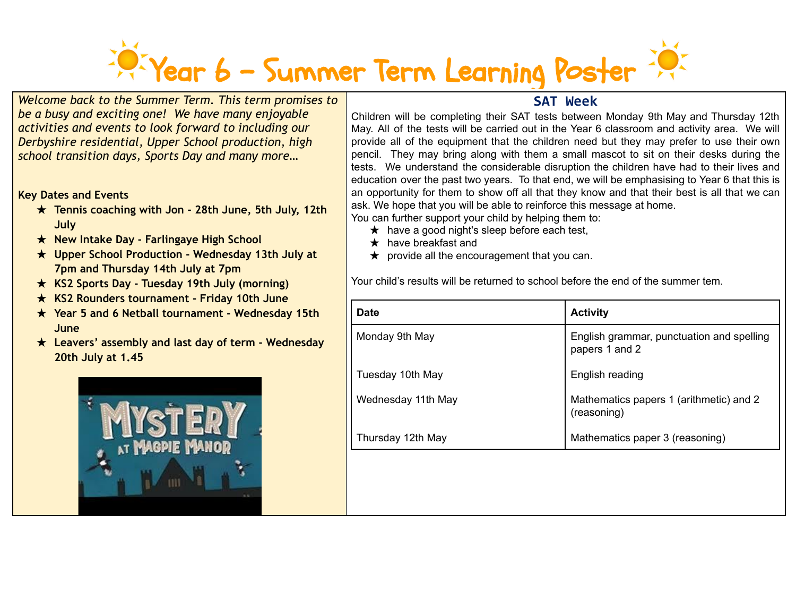## Year 6 – Summer Term Learning Poster

*Welcome back to the Summer Term. This term promises to be a busy and exciting one! We have many enjoyable activities and events to look forward to including our Derbyshire residential, Upper School production, high school transition days, Sports Day and many more…*

## **Key Dates and Events**

- ★ **Tennis coaching with Jon - 28th June, 5th July, 12th July**
- ★ **New Intake Day - Farlingaye High School**
- ★ **Upper School Production - Wednesday 13th July at 7pm and Thursday 14th July at 7pm**
- ★ **KS2 Sports Day - Tuesday 19th July (morning)**
- ★ **KS2 Rounders tournament - Friday 10th June**
- ★ **Year 5 and 6 Netball tournament - Wednesday 15th June**
- ★ **Leavers' assembly and last day of term - Wednesday 20th July at 1.45**



## **SAT Week**

Children will be completing their SAT tests between Monday 9th May and Thursday 12th May. All of the tests will be carried out in the Year 6 classroom and activity area. We will provide all of the equipment that the children need but they may prefer to use their own pencil. They may bring along with them a small mascot to sit on their desks during the tests. We understand the considerable disruption the children have had to their lives and education over the past two years. To that end, we will be emphasising to Year 6 that this is an opportunity for them to show off all that they know and that their best is all that we can ask. We hope that you will be able to reinforce this message at home.

You can further support your child by helping them to:

- $\star$  have a good night's sleep before each test,
- $\star$  have breakfast and
- $\star$  provide all the encouragement that you can.

Your child's results will be returned to school before the end of the summer tem.

| <b>Date</b>        | <b>Activity</b>                                             |
|--------------------|-------------------------------------------------------------|
| Monday 9th May     | English grammar, punctuation and spelling<br>papers 1 and 2 |
| Tuesday 10th May   | English reading                                             |
| Wednesday 11th May | Mathematics papers 1 (arithmetic) and 2<br>(reasoning)      |
| Thursday 12th May  | Mathematics paper 3 (reasoning)                             |
|                    |                                                             |
|                    |                                                             |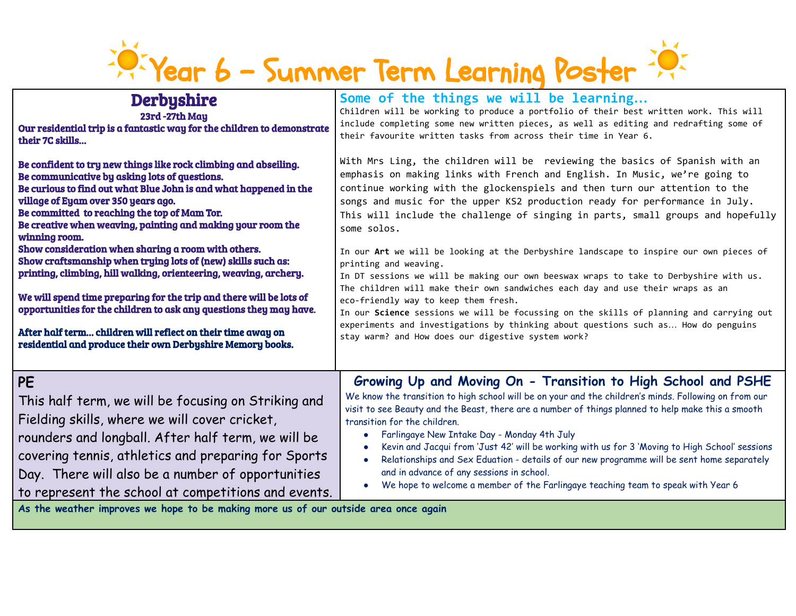## Privear 6 - Summer Term Learning Poster

| <b>Derbyshire</b>                                                                                                                                                                                                                                                                                                                   | Some of the things we will be learning                                                                                                                                                                                                                                                                                                                                                                                                                                                                                                                                                                                                                                                                    |
|-------------------------------------------------------------------------------------------------------------------------------------------------------------------------------------------------------------------------------------------------------------------------------------------------------------------------------------|-----------------------------------------------------------------------------------------------------------------------------------------------------------------------------------------------------------------------------------------------------------------------------------------------------------------------------------------------------------------------------------------------------------------------------------------------------------------------------------------------------------------------------------------------------------------------------------------------------------------------------------------------------------------------------------------------------------|
| 23rd-27th May                                                                                                                                                                                                                                                                                                                       | Children will be working to produce a portfolio of their best written work. This will                                                                                                                                                                                                                                                                                                                                                                                                                                                                                                                                                                                                                     |
| Our residential trip is a fantastic way for the children to demonstrate                                                                                                                                                                                                                                                             | include completing some new written pieces, as well as editing and redrafting some of                                                                                                                                                                                                                                                                                                                                                                                                                                                                                                                                                                                                                     |
| their 7C skills                                                                                                                                                                                                                                                                                                                     | their favourite written tasks from across their time in Year 6.                                                                                                                                                                                                                                                                                                                                                                                                                                                                                                                                                                                                                                           |
| Be confident to try new things like rock climbing and abseiling.                                                                                                                                                                                                                                                                    | With Mrs Ling, the children will be reviewing the basics of Spanish with an                                                                                                                                                                                                                                                                                                                                                                                                                                                                                                                                                                                                                               |
| Be communicative by asking lots of questions.                                                                                                                                                                                                                                                                                       | emphasis on making links with French and English. In Music, we're going to                                                                                                                                                                                                                                                                                                                                                                                                                                                                                                                                                                                                                                |
| Be curious to find out what Blue John is and what happened in the                                                                                                                                                                                                                                                                   | continue working with the glockenspiels and then turn our attention to the                                                                                                                                                                                                                                                                                                                                                                                                                                                                                                                                                                                                                                |
| village of Eyam over 350 years ago.                                                                                                                                                                                                                                                                                                 | songs and music for the upper KS2 production ready for performance in July.                                                                                                                                                                                                                                                                                                                                                                                                                                                                                                                                                                                                                               |
| Be committed to reaching the top of Mam Tor.                                                                                                                                                                                                                                                                                        | This will include the challenge of singing in parts, small groups and hopefully                                                                                                                                                                                                                                                                                                                                                                                                                                                                                                                                                                                                                           |
| Be creative when weaving, painting and making your room the                                                                                                                                                                                                                                                                         | some solos.                                                                                                                                                                                                                                                                                                                                                                                                                                                                                                                                                                                                                                                                                               |
| winning room.                                                                                                                                                                                                                                                                                                                       | In our Art we will be looking at the Derbyshire landscape to inspire our own pieces of                                                                                                                                                                                                                                                                                                                                                                                                                                                                                                                                                                                                                    |
| Show consideration when sharing a room with others.                                                                                                                                                                                                                                                                                 | printing and weaving.                                                                                                                                                                                                                                                                                                                                                                                                                                                                                                                                                                                                                                                                                     |
| Show craftsmanship when trying lots of (new) skills such as:                                                                                                                                                                                                                                                                        | In DT sessions we will be making our own beeswax wraps to take to Derbyshire with us.                                                                                                                                                                                                                                                                                                                                                                                                                                                                                                                                                                                                                     |
| printing, climbing, hill walking, orienteering, weaving, archery.                                                                                                                                                                                                                                                                   | The children will make their own sandwiches each day and use their wraps as an                                                                                                                                                                                                                                                                                                                                                                                                                                                                                                                                                                                                                            |
| We will spend time preparing for the trip and there will be lots of                                                                                                                                                                                                                                                                 | eco-friendly way to keep them fresh.                                                                                                                                                                                                                                                                                                                                                                                                                                                                                                                                                                                                                                                                      |
| opportunities for the children to ask any questions they may have.                                                                                                                                                                                                                                                                  | In our Science sessions we will be focussing on the skills of planning and carrying out                                                                                                                                                                                                                                                                                                                                                                                                                                                                                                                                                                                                                   |
| After half term children will reflect on their time away on                                                                                                                                                                                                                                                                         | experiments and investigations by thinking about questions such as How do penguins                                                                                                                                                                                                                                                                                                                                                                                                                                                                                                                                                                                                                        |
| residential and produce their own Derbyshire Memory books.                                                                                                                                                                                                                                                                          | stay warm? and How does our digestive system work?                                                                                                                                                                                                                                                                                                                                                                                                                                                                                                                                                                                                                                                        |
| PE<br>This half term, we will be focusing on Striking and<br>Fielding skills, where we will cover cricket,<br>rounders and longball. After half term, we will be<br>covering tennis, athletics and preparing for Sports<br>Day. There will also be a number of opportunities<br>to represent the school at competitions and events. | Growing Up and Moving On - Transition to High School and PSHE<br>We know the transition to high school will be on your and the children's minds. Following on from our<br>visit to see Beauty and the Beast, there are a number of things planned to help make this a smooth<br>transition for the children.<br>Farlingaye New Intake Day - Monday 4th July<br>$\bullet$<br>Kevin and Jacqui from 'Just 42' will be working with us for 3 'Moving to High School' sessions<br>Relationships and Sex Eduation - details of our new programme will be sent home separately<br>and in advance of any sessions in school.<br>We hope to welcome a member of the Farlingaye teaching team to speak with Year 6 |

**As the weather improves we hope to be making more us of our outside area once again**